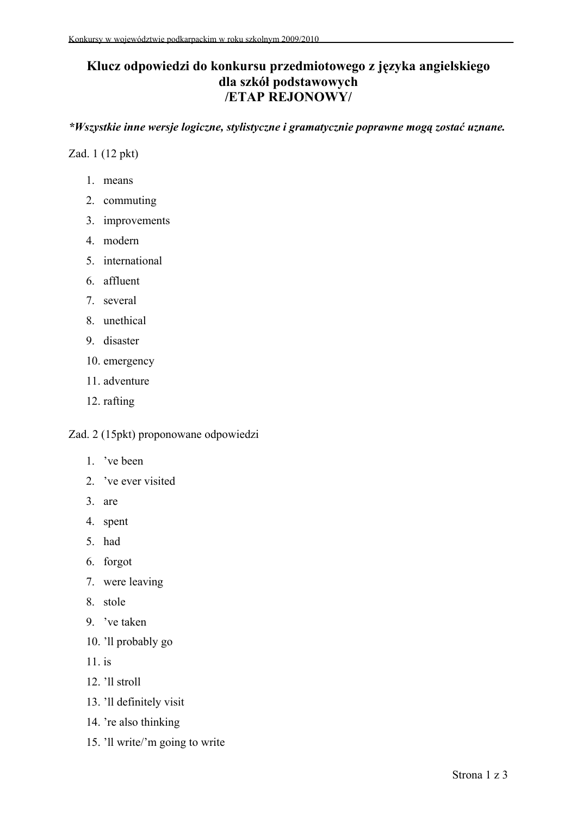## **Klucz odpowiedzi do konkursu przedmiotowego z języka angielskiego dla szkół podstawowych /ETAP REJONOWY/**

*\*Wszystkie inne wersje logiczne, stylistyczne i gramatycznie poprawne mogą zostać uznane.*

Zad. 1 (12 pkt)

- 1. means
- 2. commuting
- 3. improvements
- 4. modern
- 5. international
- 6. affluent
- 7. several
- 8. unethical
- 9. disaster
- 10. emergency
- 11. adventure
- 12. rafting

Zad. 2 (15pkt) proponowane odpowiedzi

- 1. 've been
- 2. 've ever visited
- 3. are
- 4. spent
- 5. had
- 6. forgot
- 7. were leaving
- 8. stole
- 9. 've taken
- 10. 'll probably go
- 11. is
- 12. 'll stroll
- 13. 'll definitely visit
- 14. 're also thinking
- 15. 'll write/'m going to write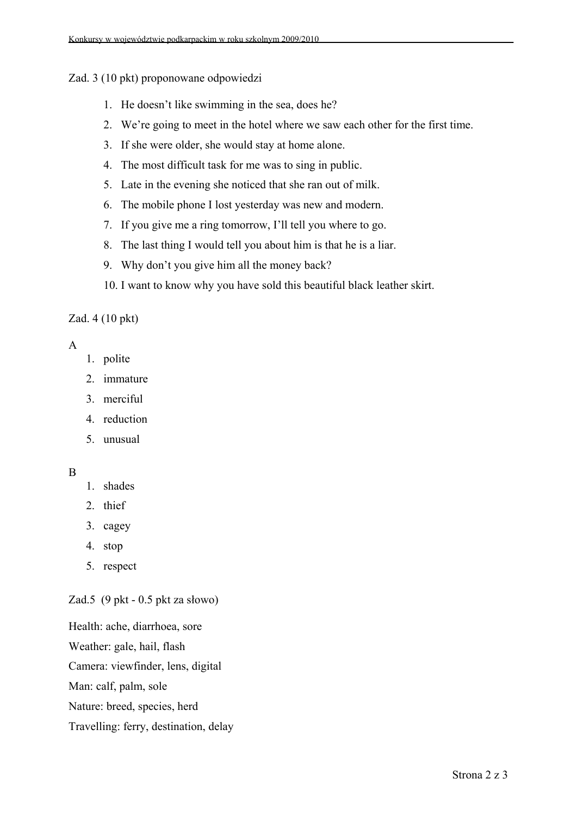Zad. 3 (10 pkt) proponowane odpowiedzi

- 1. He doesn't like swimming in the sea, does he?
- 2. We're going to meet in the hotel where we saw each other for the first time.
- 3. If she were older, she would stay at home alone.
- 4. The most difficult task for me was to sing in public.
- 5. Late in the evening she noticed that she ran out of milk.
- 6. The mobile phone I lost yesterday was new and modern.
- 7. If you give me a ring tomorrow, I'll tell you where to go.
- 8. The last thing I would tell you about him is that he is a liar.
- 9. Why don't you give him all the money back?
- 10. I want to know why you have sold this beautiful black leather skirt.

Zad. 4 (10 pkt)

## A

- 1. polite
- 2. immature
- 3. merciful
- 4. reduction
- 5. unusual

## B

- 1. shades
- 2. thief
- 3. cagey
- 4. stop
- 5. respect

Zad.5 (9 pkt - 0.5 pkt za słowo)

Health: ache, diarrhoea, sore Weather: gale, hail, flash Camera: viewfinder, lens, digital Man: calf, palm, sole Nature: breed, species, herd Travelling: ferry, destination, delay